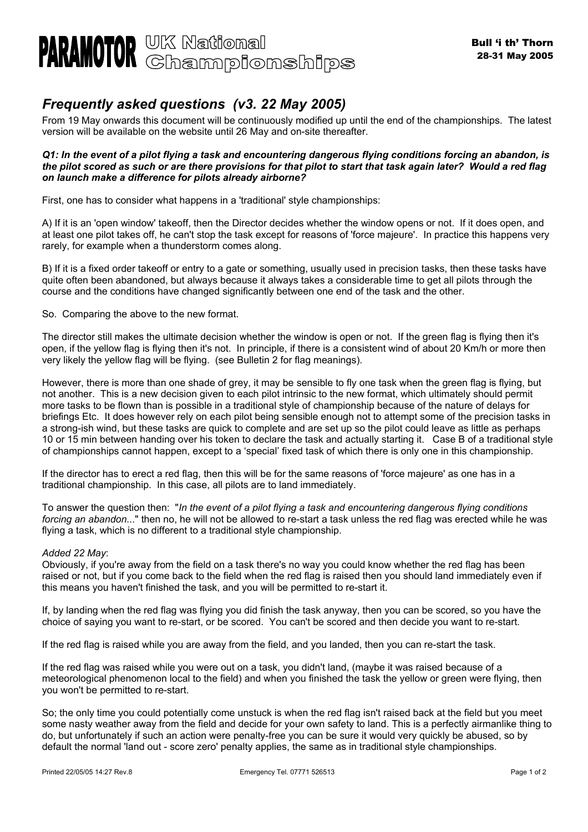

## *Frequently asked questions (v3. 22 May 2005)*

From 19 May onwards this document will be continuously modified up until the end of the championships. The latest version will be available on the website until 26 May and on-site thereafter.

## *Q1: In the event of a pilot flying a task and encountering dangerous flying conditions forcing an abandon, is the pilot scored as such or are there provisions for that pilot to start that task again later? Would a red flag on launch make a difference for pilots already airborne?*

First, one has to consider what happens in a 'traditional' style championships:

A) If it is an 'open window' takeoff, then the Director decides whether the window opens or not. If it does open, and at least one pilot takes off, he can't stop the task except for reasons of 'force majeure'. In practice this happens very rarely, for example when a thunderstorm comes along.

B) If it is a fixed order takeoff or entry to a gate or something, usually used in precision tasks, then these tasks have quite often been abandoned, but always because it always takes a considerable time to get all pilots through the course and the conditions have changed significantly between one end of the task and the other.

So. Comparing the above to the new format.

The director still makes the ultimate decision whether the window is open or not. If the green flag is flying then it's open, if the yellow flag is flying then it's not. In principle, if there is a consistent wind of about 20 Km/h or more then very likely the yellow flag will be flying. (see Bulletin 2 for flag meanings).

However, there is more than one shade of grey, it may be sensible to fly one task when the green flag is flying, but not another. This is a new decision given to each pilot intrinsic to the new format, which ultimately should permit more tasks to be flown than is possible in a traditional style of championship because of the nature of delays for briefings Etc. It does however rely on each pilot being sensible enough not to attempt some of the precision tasks in a strong-ish wind, but these tasks are quick to complete and are set up so the pilot could leave as little as perhaps 10 or 15 min between handing over his token to declare the task and actually starting it. Case B of a traditional style of championships cannot happen, except to a 'special' fixed task of which there is only one in this championship.

If the director has to erect a red flag, then this will be for the same reasons of 'force majeure' as one has in a traditional championship. In this case, all pilots are to land immediately.

To answer the question then: "*In the event of a pilot flying a task and encountering dangerous flying conditions forcing an abandon...*" then no, he will not be allowed to re-start a task unless the red flag was erected while he was flying a task, which is no different to a traditional style championship.

## *Added 22 May*:

Obviously, if you're away from the field on a task there's no way you could know whether the red flag has been raised or not, but if you come back to the field when the red flag is raised then you should land immediately even if this means you haven't finished the task, and you will be permitted to re-start it.

If, by landing when the red flag was flying you did finish the task anyway, then you can be scored, so you have the choice of saying you want to re-start, or be scored. You can't be scored and then decide you want to re-start.

If the red flag is raised while you are away from the field, and you landed, then you can re-start the task.

If the red flag was raised while you were out on a task, you didn't land, (maybe it was raised because of a meteorological phenomenon local to the field) and when you finished the task the yellow or green were flying, then you won't be permitted to re-start.

So; the only time you could potentially come unstuck is when the red flag isn't raised back at the field but you meet some nasty weather away from the field and decide for your own safety to land. This is a perfectly airmanlike thing to do, but unfortunately if such an action were penalty-free you can be sure it would very quickly be abused, so by default the normal 'land out - score zero' penalty applies, the same as in traditional style championships.